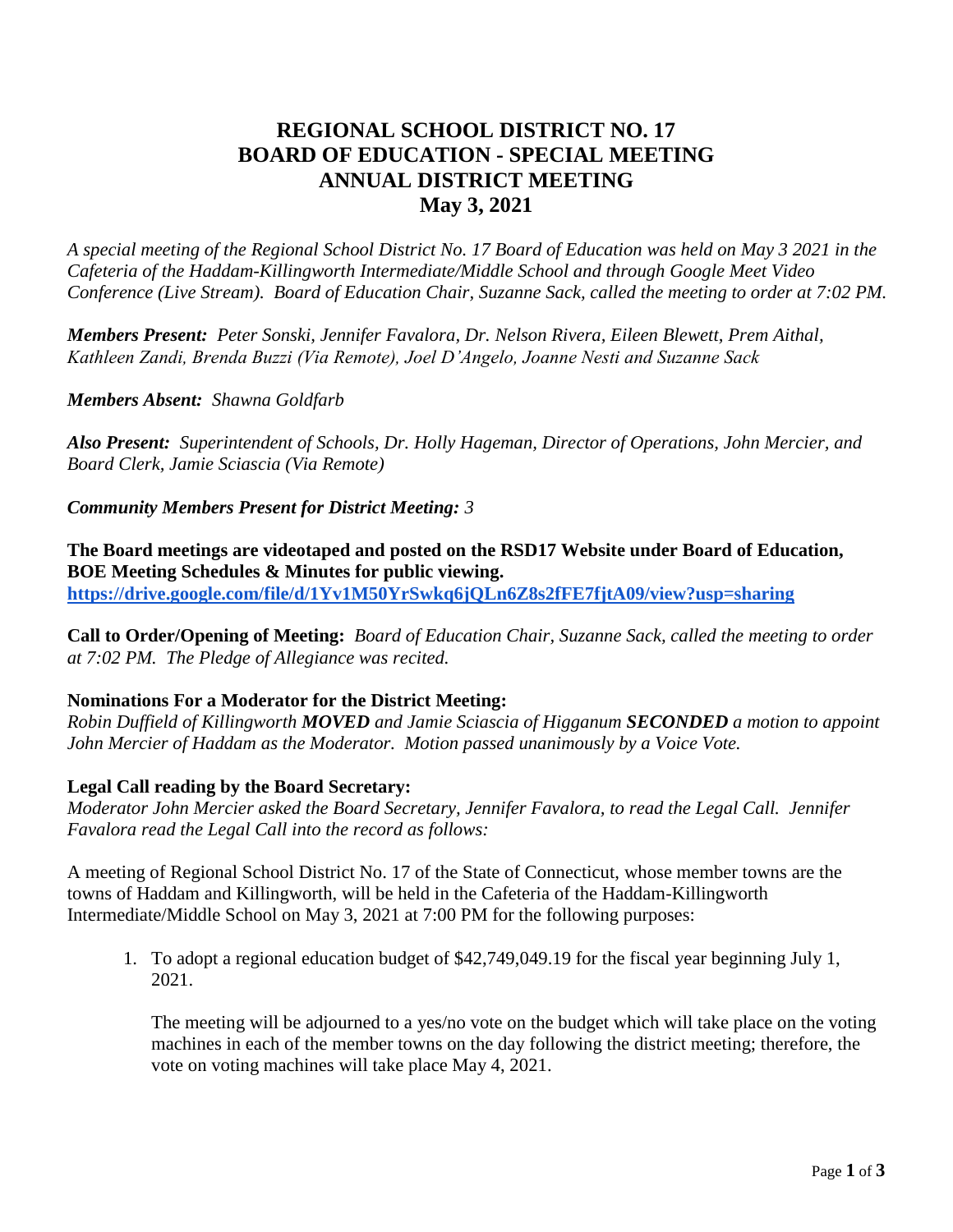# **REGIONAL SCHOOL DISTRICT NO. 17 BOARD OF EDUCATION - SPECIAL MEETING ANNUAL DISTRICT MEETING May 3, 2021**

*A special meeting of the Regional School District No. 17 Board of Education was held on May 3 2021 in the Cafeteria of the Haddam-Killingworth Intermediate/Middle School and through Google Meet Video Conference (Live Stream). Board of Education Chair, Suzanne Sack, called the meeting to order at 7:02 PM.*

*Members Present: Peter Sonski, Jennifer Favalora, Dr. Nelson Rivera, Eileen Blewett, Prem Aithal, Kathleen Zandi, Brenda Buzzi (Via Remote), Joel D'Angelo, Joanne Nesti and Suzanne Sack*

*Members Absent: Shawna Goldfarb* 

*Also Present: Superintendent of Schools, Dr. Holly Hageman, Director of Operations, John Mercier, and Board Clerk, Jamie Sciascia (Via Remote)*

*Community Members Present for District Meeting: 3*

**The Board meetings are videotaped and posted on the RSD17 Website under Board of Education, BOE Meeting Schedules & Minutes for public viewing. <https://drive.google.com/file/d/1Yv1M50YrSwkq6jQLn6Z8s2fFE7fjtA09/view?usp=sharing>**

**Call to Order/Opening of Meeting:** *Board of Education Chair, Suzanne Sack, called the meeting to order at 7:02 PM. The Pledge of Allegiance was recited.*

# **Nominations For a Moderator for the District Meeting:**

*Robin Duffield of Killingworth MOVED and Jamie Sciascia of Higganum SECONDED a motion to appoint John Mercier of Haddam as the Moderator. Motion passed unanimously by a Voice Vote.*

# **Legal Call reading by the Board Secretary:**

*Moderator John Mercier asked the Board Secretary, Jennifer Favalora, to read the Legal Call. Jennifer Favalora read the Legal Call into the record as follows:*

A meeting of Regional School District No. 17 of the State of Connecticut, whose member towns are the towns of Haddam and Killingworth, will be held in the Cafeteria of the Haddam-Killingworth Intermediate/Middle School on May 3, 2021 at 7:00 PM for the following purposes:

1. To adopt a regional education budget of \$42,749,049.19 for the fiscal year beginning July 1, 2021.

The meeting will be adjourned to a yes/no vote on the budget which will take place on the voting machines in each of the member towns on the day following the district meeting; therefore, the vote on voting machines will take place May 4, 2021.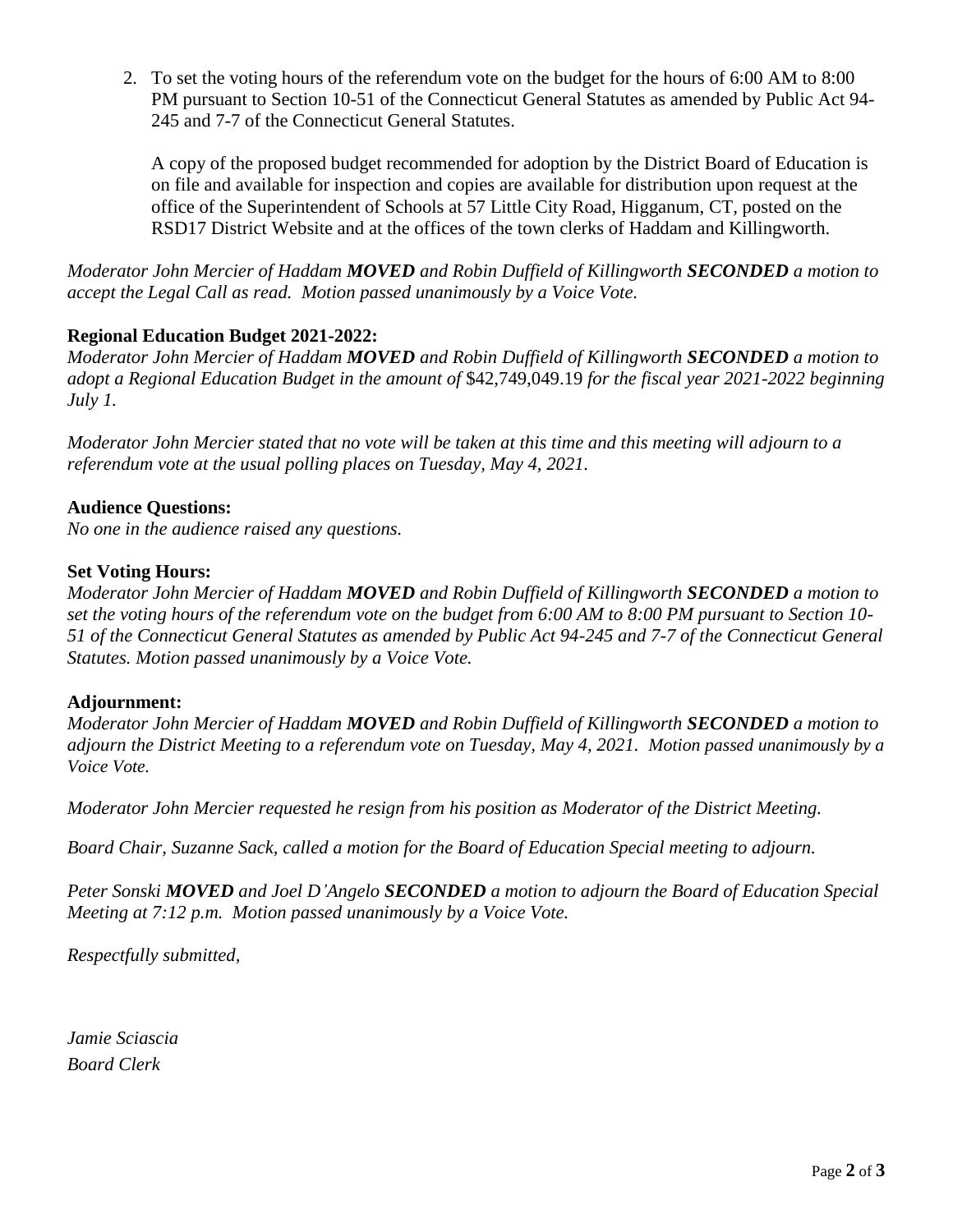2. To set the voting hours of the referendum vote on the budget for the hours of 6:00 AM to 8:00 PM pursuant to Section 10-51 of the Connecticut General Statutes as amended by Public Act 94- 245 and 7-7 of the Connecticut General Statutes.

A copy of the proposed budget recommended for adoption by the District Board of Education is on file and available for inspection and copies are available for distribution upon request at the office of the Superintendent of Schools at 57 Little City Road, Higganum, CT, posted on the RSD17 District Website and at the offices of the town clerks of Haddam and Killingworth.

*Moderator John Mercier of Haddam MOVED and Robin Duffield of Killingworth SECONDED a motion to accept the Legal Call as read. Motion passed unanimously by a Voice Vote.*

# **Regional Education Budget 2021-2022:**

*Moderator John Mercier of Haddam MOVED and Robin Duffield of Killingworth SECONDED a motion to adopt a Regional Education Budget in the amount of* \$42,749,049.19 *for the fiscal year 2021-2022 beginning July 1.* 

*Moderator John Mercier stated that no vote will be taken at this time and this meeting will adjourn to a referendum vote at the usual polling places on Tuesday, May 4, 2021.*

# **Audience Questions:**

*No one in the audience raised any questions.*

#### **Set Voting Hours:**

*Moderator John Mercier of Haddam MOVED and Robin Duffield of Killingworth SECONDED a motion to set the voting hours of the referendum vote on the budget from 6:00 AM to 8:00 PM pursuant to Section 10- 51 of the Connecticut General Statutes as amended by Public Act 94-245 and 7-7 of the Connecticut General Statutes. Motion passed unanimously by a Voice Vote.*

# **Adjournment:**

*Moderator John Mercier of Haddam MOVED and Robin Duffield of Killingworth SECONDED a motion to adjourn the District Meeting to a referendum vote on Tuesday, May 4, 2021. Motion passed unanimously by a Voice Vote.*

*Moderator John Mercier requested he resign from his position as Moderator of the District Meeting.*

*Board Chair, Suzanne Sack, called a motion for the Board of Education Special meeting to adjourn.*

*Peter Sonski MOVED and Joel D'Angelo SECONDED a motion to adjourn the Board of Education Special Meeting at 7:12 p.m. Motion passed unanimously by a Voice Vote.*

*Respectfully submitted,*

*Jamie Sciascia Board Clerk*